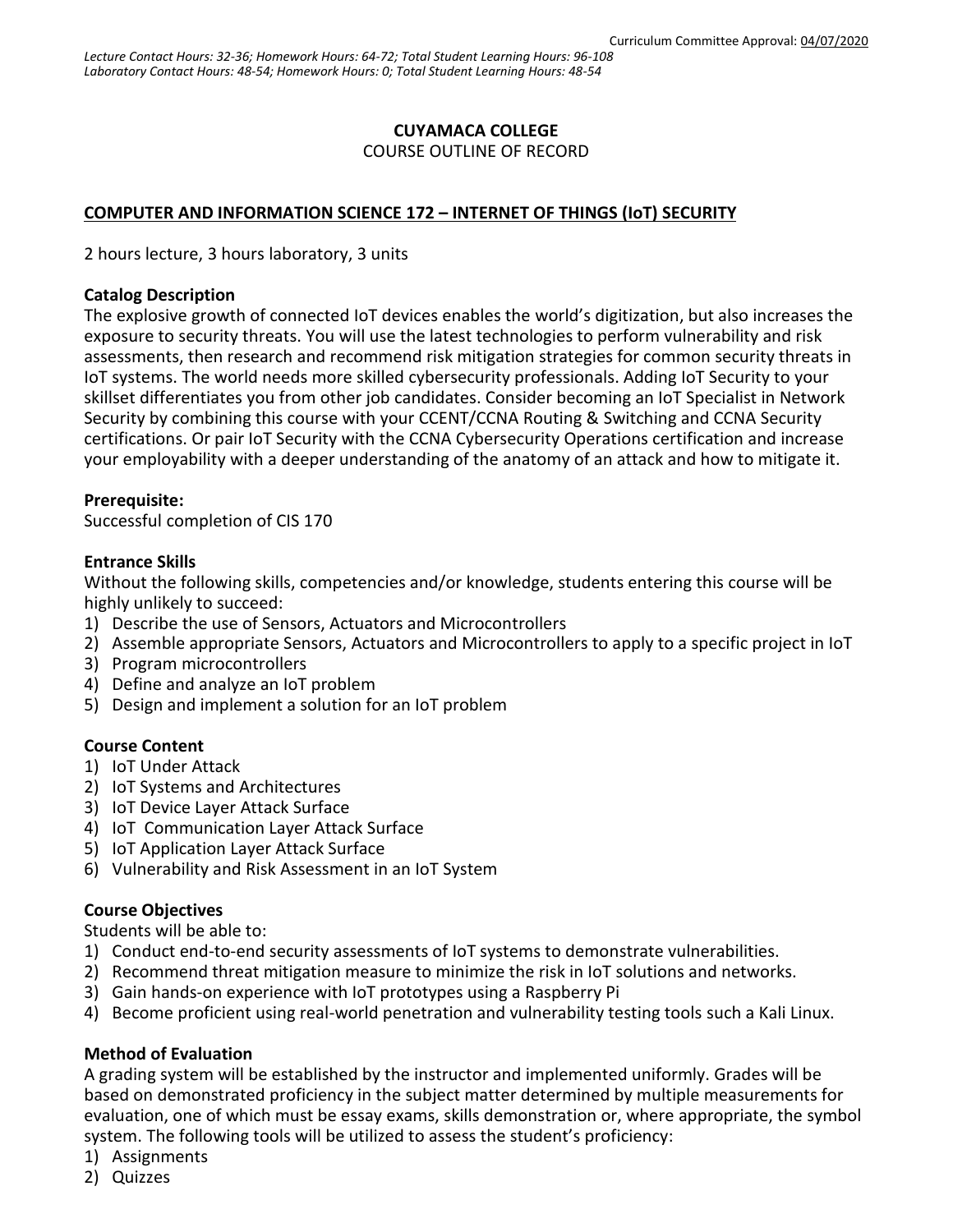# **CUYAMACA COLLEGE**

COURSE OUTLINE OF RECORD

# **COMPUTER AND INFORMATION SCIENCE 172 – INTERNET OF THINGS (IoT) SECURITY**

2 hours lecture, 3 hours laboratory, 3 units

#### **Catalog Description**

The explosive growth of connected IoT devices enables the world's digitization, but also increases the exposure to security threats. You will use the latest technologies to perform vulnerability and risk assessments, then research and recommend risk mitigation strategies for common security threats in IoT systems. The world needs more skilled cybersecurity professionals. Adding IoT Security to your skillset differentiates you from other job candidates. Consider becoming an IoT Specialist in Network Security by combining this course with your CCENT/CCNA Routing & Switching and CCNA Security certifications. Or pair IoT Security with the CCNA Cybersecurity Operations certification and increase your employability with a deeper understanding of the anatomy of an attack and how to mitigate it.

#### **Prerequisite:**

Successful completion of CIS 170

### **Entrance Skills**

Without the following skills, competencies and/or knowledge, students entering this course will be highly unlikely to succeed:

- 1) Describe the use of Sensors, Actuators and Microcontrollers
- 2) Assemble appropriate Sensors, Actuators and Microcontrollers to apply to a specific project in IoT
- 3) Program microcontrollers
- 4) Define and analyze an IoT problem
- 5) Design and implement a solution for an IoT problem

### **Course Content**

- 1) IoT Under Attack
- 2) IoT Systems and Architectures
- 3) IoT Device Layer Attack Surface
- 4) IoT Communication Layer Attack Surface
- 5) IoT Application Layer Attack Surface
- 6) Vulnerability and Risk Assessment in an IoT System

### **Course Objectives**

Students will be able to:

- 1) Conduct end-to-end security assessments of IoT systems to demonstrate vulnerabilities.
- 2) Recommend threat mitigation measure to minimize the risk in IoT solutions and networks.
- 3) Gain hands-on experience with IoT prototypes using a Raspberry Pi
- 4) Become proficient using real-world penetration and vulnerability testing tools such a Kali Linux.

### **Method of Evaluation**

A grading system will be established by the instructor and implemented uniformly. Grades will be based on demonstrated proficiency in the subject matter determined by multiple measurements for evaluation, one of which must be essay exams, skills demonstration or, where appropriate, the symbol system. The following tools will be utilized to assess the student's proficiency:

- 1) Assignments
- 2) Quizzes